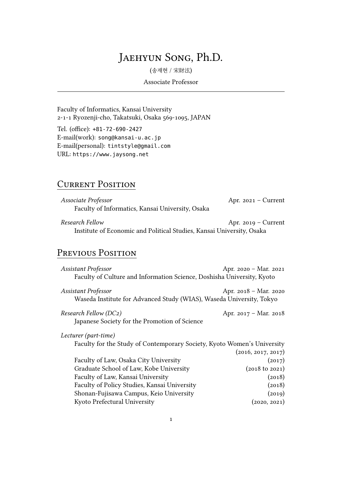# Jaehyun Song, Ph.D.

(송재현 / 宋財泫)

#### Associate Professor

Faculty of Informatics, Kansai University 2-1-1 Ryozenji-cho, Takatsuki, Osaka 569-1095, JAPAN

Tel. (office): +81-72-690-2427 E-mail(work): [song@kansai-u.ac.jp](mailto:song@kansai-u.ac.jp) E-mail(personal): [tintstyle@gmail.com](mailto:tintstyle@gmail.com) URL: <https://www.jaysong.net>

## **CURRENT POSITION**

| Associate Professor                              | Apr. $2021 -$ Current |
|--------------------------------------------------|-----------------------|
| Faculty of Informatics, Kansai University, Osaka |                       |

*Research Fellow* Apr. 2019 – Current Institute of Economic and Political Studies, Kansai University, Osaka

## PREVIOUS POSITION

| Assistant Professor                                                                         | Apr. 2020 - Mar. 2021           |
|---------------------------------------------------------------------------------------------|---------------------------------|
| Faculty of Culture and Information Science, Doshisha University, Kyoto                      |                                 |
| Assistant Professor<br>Waseda Institute for Advanced Study (WIAS), Waseda University, Tokyo | Apr. $2018 - \text{Mar. } 2020$ |
| Research Fellow (DC2)                                                                       | Apr. 2017 – Mar. 2018           |
| Japanese Society for the Promotion of Science                                               |                                 |
| Lecturer (part-time)                                                                        |                                 |
| Faculty for the Study of Contemporary Society, Kyoto Women's University                     |                                 |
|                                                                                             | (2016, 2017, 2017)              |
| Faculty of Law, Osaka City University                                                       | (2017)                          |
| Graduate School of Law, Kobe University                                                     | $(2018 \text{ to } 2021)$       |
| Faculty of Law, Kansai University                                                           | (2018)                          |
| Faculty of Policy Studies, Kansai University                                                | (2018)                          |
| Shonan-Fujisawa Campus, Keio University                                                     | (2019)                          |
| Kyoto Prefectural University                                                                | (2020, 2021)                    |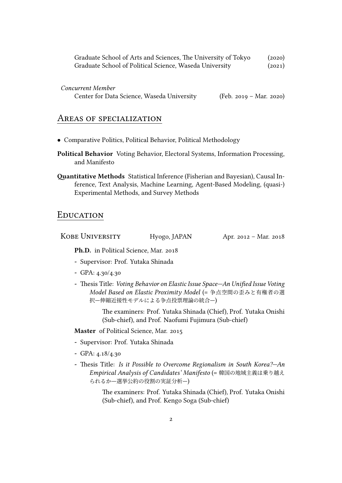| Graduate School of Arts and Sciences, The University of Tokyo | (2020) |
|---------------------------------------------------------------|--------|
| Graduate School of Political Science, Waseda University       | (2021) |

*Concurrent Member*

| Center for Data Science, Waseda University | (Feb. 2019 – Mar. 2020) |
|--------------------------------------------|-------------------------|
|--------------------------------------------|-------------------------|

#### AReas of specialization

- *•* Comparative Politics, Political Behavior, Political Methodology
- **Political Behavior** Voting Behavior, Electoral Systems, Information Processing, and Manifesto
- **Quantitative Methods** Statistical Inference (Fisherian and Bayesian), Causal Inference, Text Analysis, Machine Learning, Agent-Based Modeling, (quasi-) Experimental Methods, and Survey Methods

#### **EDUCATION**

KOBE UNIVERSITY Hyogo, JAPAN Apr. 2012 – Mar. 2018

**Ph.D.** in Political Science, Mar. 2018

- **-** Supervisor: Prof. Yutaka Shinada
- **-** GPA: 4.30/4.30
- **-** Thesis Title: *Voting Behavior on Elastic Issue Space—An Unified Issue Voting Model Based on Elastic Proximity Model* (= 争点空間の歪みと有権者の選 択—伸縮近接性モデルによる争点投票理論の統合—)

The examiners: Prof. Yutaka Shinada (Chief), Prof. Yutaka Onishi (Sub-chief), and Prof. Naofumi Fujimura (Sub-chief)

**Master** of Political Science, Mar. 2015

- **-** Supervisor: Prof. Yutaka Shinada
- **-** GPA: 4.18/4.30
- **-** Thesis Title: *Is it Possible to Overcome Regionalism in South Korea?—An Empirical Analysis of Candidates' Manifesto* (= 韓国の地域主義は乗り越え られるか—選挙公約の役割の実証分析—)

The examiners: Prof. Yutaka Shinada (Chief), Prof. Yutaka Onishi (Sub-chief), and Prof. Kengo Soga (Sub-chief)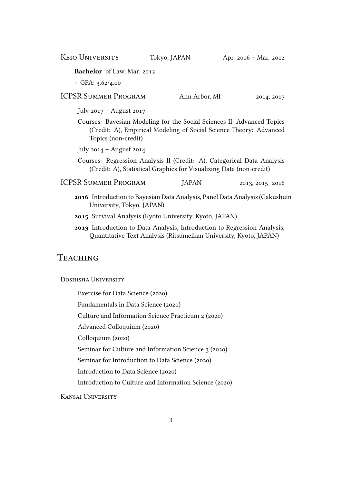KEIO UNIVERSITY Tokyo, JAPAN Apr. 2006 - Mar. 2012

**Bachelor** of Law, Mar. 2012

**-** GPA: 3.62/4.00

ICPSR SUMMER PROGRAM Ann Arbor, MI 2014, 2017

July 2017 – August 2017

Courses: Bayesian Modeling for the Social Sciences II: Advanced Topics (Credit: A), Empirical Modeling of Social Science Theory: Advanced Topics (non-credit)

July 2014 – August 2014

- Courses: Regression Analysis II (Credit: A), Categorical Data Analysis (Credit: A), Statistical Graphics for Visualizing Data (non-credit)
- ICPSR SUMMER PROGRAM JAPAN 2013, 2015-2016
	- **2016** Introduction to Bayesian Data Analysis, Panel Data Analysis (Gakushuin University, Tokyo, JAPAN)
	- **2015** Survival Analysis (Kyoto University, Kyoto, JAPAN)
	- **2013** Introduction to Data Analysis, Introduction to Regression Analysis, Quantitative Text Analysis (Ritsumeikan University, Kyoto, JAPAN)

#### Teaching

DOSHISHA UNIVERSITY

Exercise for Data Science (2020)

Fundamentals in Data Science (2020)

Culture and Information Science Practicum 2 (2020)

Advanced Colloquium (2020)

Colloquium (2020)

Seminar for Culture and Information Science 3 (2020)

Seminar for Introduction to Data Science (2020)

Introduction to Data Science (2020)

Introduction to Culture and Information Science (2020)

KANSAI UNIVERSITY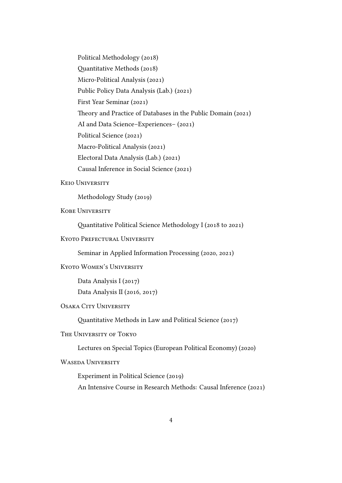Political Methodology (2018) Quantitative Methods (2018) Micro-Political Analysis (2021) Public Policy Data Analysis (Lab.) (2021) First Year Seminar (2021) Theory and Practice of Databases in the Public Domain (2021) AI and Data Science–Experiences– (2021) Political Science (2021) Macro-Political Analysis (2021) Electoral Data Analysis (Lab.) (2021) Causal Inference in Social Science (2021)

#### **KEIO UNIVERSITY**

Methodology Study (2019)

**KOBE UNIVERSITY** 

Quantitative Political Science Methodology I (2018 to 2021)

KYOTO PREFECTURAL UNIVERSITY

Seminar in Applied Information Processing (2020, 2021)

KYOTO WOMEN'S UNIVERSITY

Data Analysis I (2017) Data Analysis II (2016, 2017)

#### OSAKA CITY UNIVERSITY

Quantitative Methods in Law and Political Science (2017)

THE UNIVERSITY OF TOKYO

Lectures on Special Topics (European Political Economy) (2020)

WASEDA UNIVERSITY

Experiment in Political Science (2019) An Intensive Course in Research Methods: Causal Inference (2021)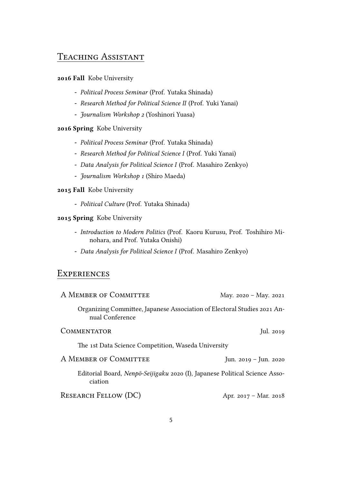## TEACHING ASSISTANT

#### **2016 Fall** Kobe University

- **-** *Political Process Seminar* (Prof. Yutaka Shinada)
- **-** *Research Method for Political Science II* (Prof. Yuki Yanai)
- **-** *Journalism Workshop 2* (Yoshinori Yuasa)

#### **2016 Spring** Kobe University

- **-** *Political Process Seminar* (Prof. Yutaka Shinada)
- **-** *Research Method for Political Science I* (Prof. Yuki Yanai)
- **-** *Data Analysis for Political Science I* (Prof. Masahiro Zenkyo)
- **-** *Journalism Workshop 1* (Shiro Maeda)

#### **2015 Fall** Kobe University

**-** *Political Culture* (Prof. Yutaka Shinada)

#### **2015 Spring** Kobe University

- **-** *Introduction to Modern Politics* (Prof. Kaoru Kurusu, Prof. Toshihiro Minohara, and Prof. Yutaka Onishi)
- **-** *Data Analysis for Political Science I* (Prof. Masahiro Zenkyo)

## **EXPERIENCES**

| A MEMBER OF COMMITTEE                                                                       | May. $2020 - May. 2021$ |
|---------------------------------------------------------------------------------------------|-------------------------|
| Organizing Committee, Japanese Association of Electoral Studies 2021 An-<br>nual Conference |                         |
| <b>COMMENTATOR</b>                                                                          | Jul. 2019               |
| The 1st Data Science Competition, Waseda University                                         |                         |
| A MEMBER OF COMMITTEE                                                                       | Jun. $2019 -$ Jun. 2020 |
| Editorial Board, Nenpō-Seijigaku 2020 (I), Japanese Political Science Asso-<br>ciation      |                         |
| <b>RESEARCH FELLOW (DC)</b>                                                                 | Apr. 2017 – Mar. 2018   |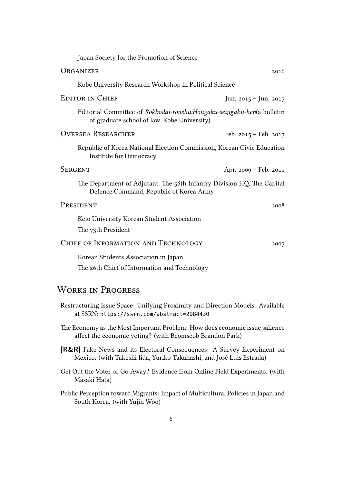| Japan Society for the Promotion of Science                                                                              |                         |
|-------------------------------------------------------------------------------------------------------------------------|-------------------------|
| ORGANIZER                                                                                                               | 2016                    |
| Kobe University Research Workshop in Political Science                                                                  |                         |
| <b>EDITOR IN CHIEF</b>                                                                                                  | Jun. 2015 - Jun. 2017   |
| Editorial Committee of Rokkodai-ronshu: Hougaku-seijigaku-hen(a bulletin<br>of graduate school of law, Kobe University) |                         |
| <b>OVERSEA RESEARCHER</b>                                                                                               | Feb. $2015 - Feb. 2017$ |
| Republic of Korea National Election Commission, Korean Civic Education<br>Institute for Democracy                       |                         |
| <b>SERGENT</b>                                                                                                          | Apr. 2009 – Feb. 2011   |
| The Department of Adjutant, The 56th Infantry Division HQ, The Capital<br>Defence Command, Republic of Korea Army       |                         |
| PRESIDENT                                                                                                               | 2008                    |
| Keio University Korean Student Association<br>The 73th President                                                        |                         |
| CHIEF OF INFORMATION AND TECHNOLOGY                                                                                     | 2007                    |
| Korean Students Association in Japan<br>The 26th Chief of Information and Technology                                    |                         |

## WoRKs in PRogRess

- Restructuring Issue Space: Unifying Proximity and Direction Models. Available at SSRN: <https://ssrn.com/abstract=2984430>
- The Economy as the Most Important Problem: How does economic issue salience affect the economic voting? (with [Beomseob Brandon Park](http://brandonpark.net))
- **[R&R]** Fake News and its Electoral Consequences: A Survey Experiment on Mexico. (with [Takeshi Iida](https://tiida.doshisha.ac.jp), Yuriko Takahashi, and José Luis Estrada)
- Get Out the Voter or Go Away? Evidence from Online Field Experiments. (with [Masaki Hata\)](http://hatam.sakura.ne.jp)
- Public Perception toward Migrants: Impact of Multicultural Policies in Japan and South Korea. (with Yujin Woo)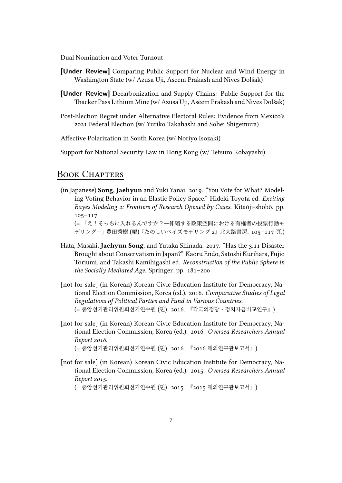Dual Nomination and Voter Turnout

- **[Under Review]** Comparing Public Support for Nuclear and Wind Energy in Washington State (w/ [Azusa Uji](https://www.azusa-uji.com), [Aseem Prakash](http://aseemprakash.net) and [Nives Dolšak](http://faculty.washington.edu/nives/))
- **[Under Review]** Decarbonization and Supply Chains: Public Support for the Thacker Pass Lithium Mine (w/ [Azusa Uji](https://www.azusa-uji.com), [Aseem Prakash](http://aseemprakash.net) and [Nives Dolšak](http://faculty.washington.edu/nives/))
- Post-Election Regret under Alternative Electoral Rules: Evidence from Mexico's 2021 Federal Election (w/ Yuriko Takahashi and [Sohei Shigemura](https://soheishigemura.com/))

Affective Polarization in South Korea (w/ Noriyo Isozaki)

Support for National Security Law in Hong Kong (w/ Tetsuro Kobayashi)

### BOOK CHAPTERS

(in Japanese) **Song, Jaehyun** and [Yuki Yanai](https://yukiyanai.github.io/). 2019. "You Vote for What? Modeling Voting Behavior in an Elastic Policy Space." Hideki Toyota ed. *Exciting Bayes Modeling 2: Frontiers of Research Opened by Cases.* Kitaōji-shobō. pp. 105–117.

(= 「え!そっちに入れるんですか?—伸縮する政策空間における有権者の投票行動モ デリング—」豊田秀樹 (編)『たのしいベイズモデリング 2』北大路書房. 105–117 頁.)

- [Hata, Masaki,](http://hatam.sakura.ne.jp/) **Jaehyun Song**, and Yutaka Shinada. 2017. "Has the 3.11 Disaster Brought about Conservatism in Japan?" Kaoru Endo, Satoshi Kurihara, Fujio Toriumi, and Takashi Kamihigashi ed. *Reconstruction of the Public Sphere in the Socially Mediated Age*. Springer. pp. 181–200
- [not for sale] (in Korean) Korean Civic Education Institute for Democracy, National Election Commission, Korea (ed.). 2016. *Comparative Studies of Legal Regulations of Political Parties and Fund in Various Countries.* (= 중앙선거관리위원회선거연수원 (편). 2016. 『각국의정당・정치자금비교연구』)
- [not for sale] (in Korean) Korean Civic Education Institute for Democracy, National Election Commission, Korea (ed.). 2016. *Oversea Researchers Annual Report 2016.* (= 중앙선거관리위원회선거연수원 (편). 2016. 『2016 해외연구관보고서』)

[not for sale] (in Korean) Korean Civic Education Institute for Democracy, National Election Commission, Korea (ed.). 2015. *Oversea Researchers Annual Report 2015.*

(= 중앙선거관리위원회선거연수원 (편). 2015. 『2015 해외연구관보고서』)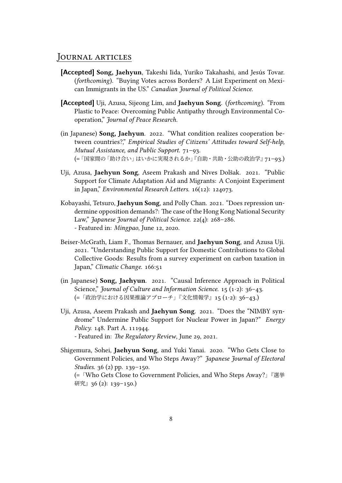#### JouRnal aRticles

- **[Accepted] Song, Jaehyun**, [Takeshi Iida](https://tiida.doshisha.ac.jp), Yuriko Takahashi, and Jesús Tovar. (*forthcoming*). "Buying Votes across Borders? A List Experiment on Mexican Immigrants in the US." *Canadian Journal of Political Science.*
- **[Accepted]** [Uji, Azusa](https://www.azusa-uji.com), [Sijeong Lim,](http://faculty.korea.ac.kr/kufaculty/sijeonglim/index.do) and **Jaehyun Song**. (*forthcoming*). "From Plastic to Peace: Overcoming Public Antipathy through Environmental Cooperation," *Journal of Peace Research.*
- (in Japanese) **Song, Jaehyun**. 2022. "What condition realizes cooperation between countries?," *Empirical Studies of Citizens' Attitudes toward Self-help, Mutual Assistance, and Public Support.* 71–93. (=「国家間の「助け合い」はいかに実現されるか」『自助・共助・公助の政治学』71–93.)
- [Uji, Azusa](https://www.azusa-uji.com), **Jaehyun Song**, [Aseem Prakash](http://aseemprakash.net) and [Nives Dolšak.](http://faculty.washington.edu/nives/) 2021. "Public Support for Climate Adaptation Aid and Migrants: A Conjoint Experiment in Japan," *Environmental Research Letters.* 16(12): 124073.
- Kobayashi, Tetsuro, **Jaehyun Song**, and Polly Chan. 2021. "Does repression undermine opposition demands?: The case of the Hong Kong National Security Law," *Japanese Journal of Political Science.* 22(4): 268–286. - Featured in: *[Mingpao](https://bit.ly/2YZw7sp)*, June 12, 2020.
- [Beiser-McGrath, Liam F.](http://www.liambeisermcgrath.com), Thomas Bernauer, and **Jaehyun Song**, and [Azusa Uji](https://www.azusa-uji.com). 2021. "Understanding Public Support for Domestic Contributions to Global Collective Goods: Results from a survey experiment on carbon taxation in Japan," *Climatic Change.* 166:51
- (in Japanese) **Song, Jaehyun**. 2021. "Causal Inference Approach in Political Science," *Journal of Culture and Information Science.* 15 (1*·*2): 36–43. (=「政治学における因果推論アプローチ」『文化情報学』15 (1*·*2): 36–43.)
- [Uji, Azusa](https://www.azusa-uji.com), [Aseem Prakash](http://aseemprakash.net) and **Jaehyun Song**. 2021. "Does the "NIMBY syndrome" Undermine Public Support for Nuclear Power in Japan?" *Energy Policy.* 148. Part A. 111944. - Featured in: *[The Regulatory Review](https://www.theregreview.org/2021/06/29/uji-prakash-song-why-local-communities-may-support-nuclear-energy/)*, June 29, 2021.
- [Shigemura, Sohei,](https://soheishigemura.com) **Jaehyun Song**, and [Yuki Yanai](https://yukiyanai.github.io/). 2020. "Who Gets Close to Government Policies, and Who Steps Away?" *Japanese Journal of Electoral Studies.* 36 (2) pp. 139–150. (=「Who Gets Close to Government Policies, and Who Steps Away?」『選挙 研究』36 (2): 139-150.)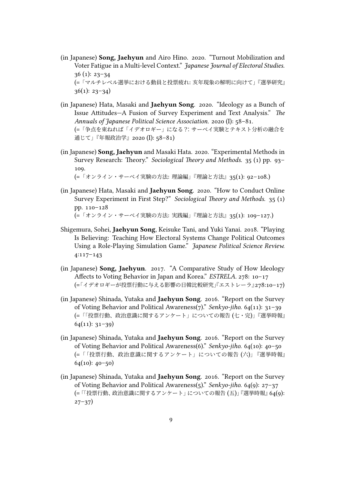- (in Japanese) **Song, Jaehyun** and Airo Hino. 2020. "Turnout Mobilization and Voter Fatigue in a Multi-level Context." *Japanese Journal of Electoral Studies.* 36 (1): 23–34 (=「マルチレベル選挙における動員と投票疲れ: 亥年現象の解明に向けて」『選挙研究』  $36(1): 23-34)$
- (in Japanese) [Hata, Masaki](http://hatam.sakura.ne.jp/) and **Jaehyun Song**. 2020. "Ideology as a Bunch of Issue Attitudes—A Fusion of Survey Experiment and Text Analysis." *The Annuals of Japanese Political Science Association.* 2020 (I): 58–81. (=「争点を束ねれば「イデオロギー」になる?:サーベイ実験とテキスト分析の融合を 通じて」『年報政治学』2020 (I): 58–81)
- (in Japanese) **Song, Jaehyun** and [Masaki Hata.](http://hatam.sakura.ne.jp/) 2020. "Experimental Methods in Survey Research: Theory." *Sociological Theory and Methods.* 35 (1) pp. 93– 109.

(=「オンライン・サーベイ実験の方法: 理論編」『理論と方法』35(1): 92–108.)

- (in Japanese) [Hata, Masaki](http://hatam.sakura.ne.jp/) and **Jaehyun Song**. 2020. "How to Conduct Online Survey Experiment in First Step?" *Sociological Theory and Methods.* 35 (1) pp. 110–128 (=「オンライン・サーベイ実験の方法: 実践編」『理論と方法』35(1): 109–127.)
- [Shigemura, Sohei,](https://soheishigemura.com) **Jaehyun Song**, Keisuke Tani, and [Yuki Yanai](https://yukiyanai.github.io/). 2018. "Playing Is Believing: Teaching How Electoral Systems Change Political Outcomes Using a Role-Playing Simulation Game." *Japanese Political Science Review.* 4:117–143
- (in Japanese) **Song, Jaehyun**. 2017. "A Comparative Study of How Ideology Affects to Voting Behavior in Japan and Korea." *ESTRELA.* 278: 10–17 (=「イデオロギーが投票行動に与える影響の日韓比較研究」『エストレーラ』278:10–17)
- (in Japanese) Shinada, Yutaka and **Jaehyun Song**. 2016. "Report on the Survey of Voting Behavior and Political Awareness(7)." *Senkyo-jiho.* 64(11): 31–39 (=「「投票行動、政治意識に関するアンケート」についての報告 (七・完)」『選挙時報』  $64(11): 31-39)$
- (in Japanese) Shinada, Yutaka and **Jaehyun Song**. 2016. "Report on the Survey of Voting Behavior and Political Awareness(6)." *Senkyo-jiho.* 64(10): 40–50 (=「「投票行動、政治意識に関するアンケート」についての報告 (六)」『選挙時報』  $64(10): 40-50$
- (in Japanese) Shinada, Yutaka and **Jaehyun Song**. 2016. "Report on the Survey of Voting Behavior and Political Awareness(5)." *Senkyo-jiho.* 64(9): 27–37 (=「「投票行動、政治意識に関するアンケート」についての報告 (五)」『選挙時報』64(9):  $27-37)$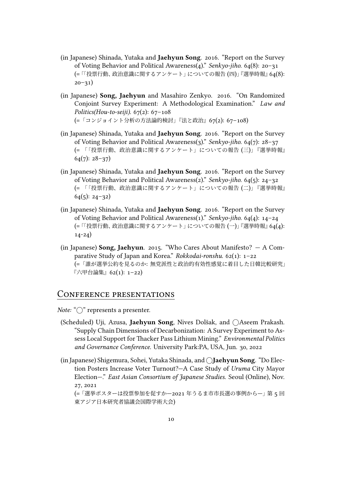- (in Japanese) Shinada, Yutaka and **Jaehyun Song**. 2016. "Report on the Survey of Voting Behavior and Political Awareness(4)." *Senkyo-jiho.* 64(8): 20–31 (=「「投票行動、政治意識に関するアンケート」についての報告 (四)」『選挙時報』64(8):  $20 - 31)$
- (in Japanese) **Song, Jaehyun** and Masahiro Zenkyo. 2016. "On Randomized Conjoint Survey Experiment: A Methodological Examination." *Law and Politics(Hou-to-seiji).* 67(2): 67–108 (=「コンジョイント分析の方法論的検討」『法と政治』67(2): 67–108)
- (in Japanese) Shinada, Yutaka and **Jaehyun Song**. 2016. "Report on the Survey of Voting Behavior and Political Awareness(3)." *Senkyo-jiho.* 64(7): 28–37 (= 「「投票行動、政治意識に関するアンケート」についての報告 (三)」『選挙時報』  $64(7): 28-37$
- (in Japanese) Shinada, Yutaka and **Jaehyun Song**. 2016. "Report on the Survey of Voting Behavior and Political Awareness(2)." *Senkyo-jiho.* 64(5): 24–32 (= 「「投票行動、政治意識に関するアンケート」についての報告 (二)」『選挙時報』  $64(5): 24-32)$
- (in Japanese) Shinada, Yutaka and **Jaehyun Song**. 2016. "Report on the Survey of Voting Behavior and Political Awareness(1)." *Senkyo-jiho.* 64(4): 14–24 (=「「投票行動、政治意識に関するアンケート」についての報告 (一)」『選挙時報』64(4): 14-24)
- (in Japanese) **Song, Jaehyun**[. 2015. "Who Cares About Manifesto? A Com](http://www.lib.kobe-u.ac.jp/infolib/meta_pub/G0000003kernel_81009140)[parative Study of Japan and Korea."](http://www.lib.kobe-u.ac.jp/infolib/meta_pub/G0000003kernel_81009140) *Rokkodai-ronshu.* 62(1): 1–22 (=「誰が選挙公約を見るのか: 無党派性と政治的有効性感覚に着目した日韓比較研究」 『六甲台論集』62(1): 1–22)

#### ConfeRence pResentations

*Note:* " $\bigcirc$ " represents a presenter.

- (Scheduled) Uji, Azusa, **Jaehyun Song**, Nives Dolšak, and *⃝*Aseem Prakash. "Supply Chain Dimensions of Decarbonization: A Survey Experiment to Assess Local Support for Thacker Pass Lithium Mining." *Environmental Politics and Governance Conference.* University Park:PA, USA, Jun. 30, 2022
- (in Japanese) Shigemura, Sohei, Yutaka Shinada, and *⃝***Jaehyun Song**. "Do Election Posters Increase Voter Turnout?—A Case Study of *Uruma* City Mayor Election—." *East Asian Consortium of Japanese Studies.* Seoul (Online), Nov. 27, 2021

(=「選挙ポスターは投票参加を促すか—2021 年うるま市市長選の事例から—」第 5 回 東アジア日本研究者協議会国際学術大会)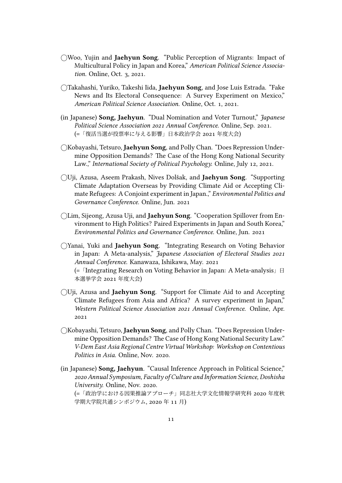- *⃝*Woo, Yujin and **Jaehyun Song**. "Public Perception of Migrants: Impact of Multicultural Policy in Japan and Korea," *American Political Science Association.* Online, Oct. 3, 2021.
- *⃝*Takahashi, Yuriko, Takeshi Iida, **Jaehyun Song**, and Jose Luis Estrada. "Fake News and Its Electoral Consequence: A Survey Experiment on Mexico," *American Political Science Association.* Online, Oct. 1, 2021.
- (in Japanese) **Song, Jaehyun**. "Dual Nomination and Voter Turnout," *Japanese Political Science Association 2021 Annual Conference.* Online, Sep. 2021. (=「復活当選が投票率に与える影響」日本政治学会 2021 年度大会)
- *⃝*Kobayashi, Tetsuro, **Jaehyun Song**, and Polly Chan. "Does Repression Undermine Opposition Demands? The Case of the Hong Kong National Security Law.," *International Society of Political Psychology.* Online, July 12, 2021.
- *⃝*Uji, Azusa, Aseem Prakash, Nives Dolšak, and **Jaehyun Song**. "Supporting Climate Adaptation Overseas by Providing Climate Aid or Accepting Climate Refugees: A Conjoint experiment in Japan.," *Environmental Politics and Governance Conference.* Online, Jun. 2021
- *⃝*Lim, Sijeong, Azusa Uji, and **Jaehyun Song**. "Cooperation Spillover from Environment to High Politics? Paired Experiments in Japan and South Korea," *Environmental Politics and Governance Conference.* Online, Jun. 2021
- *⃝*Yanai, Yuki and **Jaehyun Song**. "Integrating Research on Voting Behavior in Japan: A Meta-analysis," *Japanese Association of Electoral Studies 2021 Annual Conference.* Kanawaza, Ishikawa, May. 2021 (=「Integrating Research on Voting Behavior in Japan: A Meta-analysis」日 本選挙学会 2021 年度大会)
- *⃝*Uji, Azusa and **Jaehyun Song**. "Support for Climate Aid to and Accepting Climate Refugees from Asia and Africa? A survey experiment in Japan," *Western Political Science Association 2021 Annual Conference.* Online, Apr. 2021
- *⃝*Kobayashi, Tetsuro, **Jaehyun Song**, and Polly Chan. "Does Repression Undermine Opposition Demands? The Case of Hong Kong National Security Law." *V-Dem East Asia Regional Centre Virtual Workshop: Workshop on Contentious Politics in Asia.* Online, Nov. 2020.
- (in Japanese) **Song, Jaehyun**. "Causal Inference Approach in Political Science," *2020 Annual Symposium, Faculty of Culture and Information Science, Doshisha University.* Online, Nov. 2020.

(=「政治学における因果推論アプローチ」同志社大学文化情報学研究科 2020 年度秋 学期大学院共通シンポジウム, 2020 年 11 月)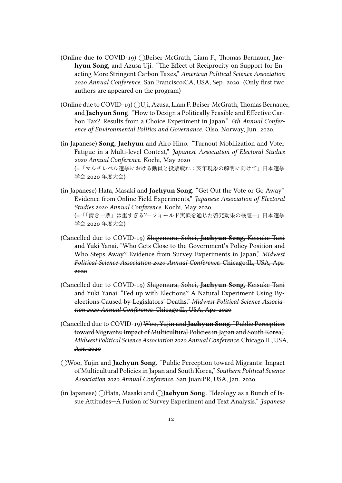- (Online due to COVID-19) *⃝*Beiser-McGrath, Liam F., Thomas Bernauer, **Jaehyun Song**, and Azusa Uji. "The Effect of Reciprocity on Support for Enacting More Stringent Carbon Taxes," *American Political Science Association 2020 Annual Conference.* San Francisco:CA, USA, Sep. 2020. (Only first two authors are appeared on the program)
- (Online due to COVID-19) *⃝*Uji, Azusa, Liam F. Beiser-McGrath, Thomas Bernauer, and **Jaehyun Song**. "How to Design a Politically Feasible and Effective Carbon Tax? Results from a Choice Experiment in Japan." *6th Annual Conference of Environmental Politics and Governance.* Olso, Norway, Jun. 2020.
- (in Japanese) **Song, Jaehyun** and Airo Hino. "Turnout Mobilization and Voter Fatigue in a Multi-level Context," *Japanese Association of Electoral Studies 2020 Annual Conference.* Kochi, May 2020 (=「マルチレベル選挙における動員と投票疲れ:亥年現象の解明に向けて」日本選挙 学会 2020 年度大会)
- (in Japanese) Hata, Masaki and **Jaehyun Song**. "Get Out the Vote or Go Away? Evidence from Online Field Experiments," *Japanese Association of Electoral Studies 2020 Annual Conference.* Kochi, May 2020 (=「「清き一票」は重すぎる?—フィールド実験を通じた啓発効果の検証—」日本選挙 学会 2020 年度大会)
- (Cancelled due to COVID-19) Shigemura, Sohei, **Jaehyun Song**, Keisuke Tani and Yuki Yanai. "Who Gets Close to the Government's Policy Position and Who Steps Away? Evidence from Survey Experiments in Japan," *Midwest Political Science Association 2020 Annual Conference.* Chicago:IL, USA, Apr. 2020
- (Cancelled due to COVID-19) Shigemura, Sohei, **Jaehyun Song**, Keisuke Tani and Yuki Yanai. "Fed up with Elections? A Natural Experiment Using Byelections Caused by Legislators' Deaths," *Midwest Political Science Association 2020 Annual Conference.* Chicago:IL, USA, Apr. 2020
- (Cancelled due to COVID-19) Woo, Yujin and **Jaehyun Song**. "Public Perception toward Migrants: Impact of Multicultural Policies in Japan and South Korea," *Midwest Political ScienceAssociation 2020Annual Conference.* Chicago:IL, USA, Apr. 2020
- *⃝*Woo, Yujin and **Jaehyun Song**. "Public Perception toward Migrants: Impact of Multicultural Policies in Japan and South Korea," *Southern Political Science Association 2020 Annual Conference.* San Juan:PR, USA, Jan. 2020
- (in Japanese) *⃝*Hata, Masaki and *⃝***Jaehyun Song**. "Ideology as a Bunch of Issue Attitudes—A Fusion of Survey Experiment and Text Analysis." *Japanese*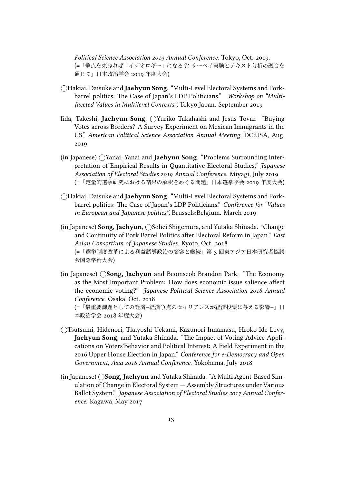*Political Science Association 2019 Annual Conference.* Tokyo, Oct. 2019. (=「争点を束ねれば「イデオロギー」になる?:サーベイ実験とテキスト分析の融合を 通じて」日本政治学会 2019 年度大会)

- *⃝*Hakiai, Daisuke and **Jaehyun Song**. "Multi-Level Electoral Systems and Porkbarrel politics: The Case of Japan's LDP Politicians." *Workshop on "Multifaceted Values in Multilevel Contexts",* Tokyo:Japan. September 2019
- Iida, Takeshi, **Jaehyun Song**, *⃝*Yuriko Takahashi and Jesus Tovar. "Buying Votes across Borders? A Survey Experiment on Mexican Immigrants in the US," *American Political Science Association Annual Meeting,* DC:USA, Aug. 2019
- (in Japanese) *⃝*Yanai, Yanai and **Jaehyun Song**. "Problems Surrounding Interpretation of Empirical Results in Quantitative Electoral Studies," *Japanese Association of Electoral Studies 2019 Annual Conference.* Miyagi, July 2019 (=「定量的選挙研究における結果の解釈をめぐる問題」日本選挙学会 2019 年度大会)
- *⃝*Hakiai, Daisuke and **Jaehyun Song**. "Multi-Level Electoral Systems and Porkbarrel politics: The Case of Japan's LDP Politicians." *Conference for "Values in European and Japanese politics",* Brussels:Belgium. March 2019
- (in Japanese) **Song, Jaehyun**, *⃝*Sohei Shigemura, and Yutaka Shinada. "Change and Continuity of Pork Barrel Politics after Electoral Reform in Japan." *East Asian Consortium of Japanese Studies.* Kyoto, Oct. 2018 (=「選挙制度改革による利益誘導政治の変容と継続」第 3 回東アジア日本研究者協議 会国際学術大会)
- (in Japanese) *⃝***Song, Jaehyun** and Beomseob Brandon Park. "The Economy as the Most Important Problem: How does economic issue salience affect the economic voting?" *Japanese Political Science Association 2018 Annual Conference.* Osaka, Oct. 2018

(=「最重要課題としての経済–経済争点のセイリアンスが経済投票に与える影響–」日 本政治学会 2018 年度大会)

- *⃝*Tsutsumi, Hidenori, Tkayoshi Uekami, Kazunori Innamasu, Hroko Ide Levy, **Jaehyun Song**, and Yutaka Shinada. "The Impact of Voting Advice Applications on Voters'Behavior and Political Interest: A Field Experiment in the 2016 Upper House Election in Japan." *Conference for e-Democracy and Open Government, Asia 2018 Annual Conference.* Yokohama, July 2018
- (in Japanese) *⃝***Song, Jaehyun** and Yutaka Shinada. "A Multi Agent-Based Simulation of Change in Electoral System — Assembly Structures under Various Ballot System." *Japanese Association of Electoral Studies 2017 Annual Conference.* Kagawa, May 2017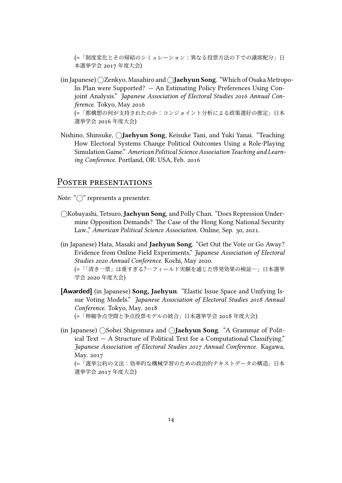(=「制度変化とその帰結のシミュレーション:異なる投票方法の下での議席配分」日 本選挙学会 2017 年度大会)

- (in Japanese) *⃝*Zenkyo, Masahiro and*⃝***Jaehyun Song**. "Which of Osaka Metropolis Plan were Supported? — An Estimating Policy Preferences Using Conjoint Analysis." *Japanese Association of Electoral Studies 2016 Annual Conference.* Tokyo, May 2016 (=「都構想の何が支持されたのか:コンジョイント分析による政策選好の推定」日本 選挙学会 2016 年度大会)
- Nishino, Shinsuke, *⃝***Jaehyun Song**, Keisuke Tani, and Yuki Yanai. "Teaching How Electoral Systems Change Political Outcomes Using a Role-Playing Simulation Game." *American Political Science Association Teaching and Learning Conference.* Portland, OR: USA, Feb. 2016

#### POSTER PRESENTATIONS

*Note:* "○" represents a presenter.

- *⃝*Kobayashi, Tetsuro, **Jaehyun Song**, and Polly Chan. "Does Repression Undermine Opposition Demands? The Case of the Hong Kong National Security Law.," *American Political Science Association.* Online, Sep. 30, 2021.
- (in Japanese) Hata, Masaki and **Jaehyun Song**. "Get Out the Vote or Go Away? Evidence from Online Field Experiments," *Japanese Association of Electoral Studies 2020 Annual Conference.* Kochi, May 2020. (=「「清き一票」は重すぎる?―フィールド実験を通じた啓発効果の検証―」日本選挙

**[Awarded]** (in Japanese) **Song, Jaehyun**. "Elastic Issue Space and Unifying Issue Voting Models." *Japanese Association of Electoral Studies 2018 Annual Conference.* Tokyo, May. 2018 (=「伸縮争点空間と争点投票モデルの統合」日本選挙学会 2018 年度大会)

(in Japanese) *⃝*Sohei Shigemura and *⃝***Jaehyun Song**. "A Grammar of Political Text — A Structure of Political Text for a Computational Classifying." *Japanese Association of Electoral Studies 2017 Annual Conference.* Kagawa, May. 2017

(=「選挙公約の文法:効率的な機械学習のための政治的テキストデータの構造」日本 選挙学会 2017 年度大会)

学会 2020 年度大会)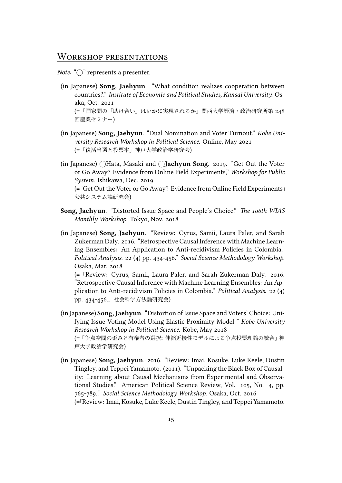#### WoRKshop pResentations

*Note:* " $\bigcap$ " represents a presenter.

- (in Japanese) **Song, Jaehyun**. "What condition realizes cooperation between countries?." *Institute of Economic and Political Studies, Kansai University.* Osaka, Oct. 2021 (=「国家間の「助け合い」はいかに実現されるか」関西大学経済・政治研究所第 248 回産業セミナー)
- (in Japanese) **Song, Jaehyun**. "Dual Nomination and Voter Turnout." *Kobe University Research Workshop in Political Science.* Online, May 2021 (=「復活当選と投票率」神戸大学政治学研究会)

(in Japanese) *⃝*Hata, Masaki and *⃝***Jaehyun Song**. 2019. "Get Out the Voter or Go Away? Evidence from Online Field Experiments," *Workshop for Public System.* Ishikawa, Dec. 2019. (=「Get Out the Voter or Go Away? Evidence from Online Field Experiments」 公共システム論研究会)

- **Song, Jaehyun**. "Distorted Issue Space and People's Choice." *The 106th WIAS Monthly Workshop.* Tokyo, Nov. 2018
- (in Japanese) **Song, Jaehyun**. "Review: Cyrus, Samii, Laura Paler, and Sarah Zukerman Daly. 2016. "Retrospective Causal Inference with Machine Learning Ensembles: An Application to Anti-recidivism Policies in Colombia." *Political Analysis*. 22 (4) pp. 434-456." *Social Science Methodology Workshop.* Osaka, Mar. 2018

(=「Review: Cyrus, Samii, Laura Paler, and Sarah Zukerman Daly. 2016. "Retrospective Causal Inference with Machine Learning Ensembles: An Application to Anti-recidivism Policies in Colombia." *Political Analysis*. 22 (4) pp. 434-456.」社会科学方法論研究会)

- (in Japanese) **Song, Jaehyun**. "Distortion of Issue Space and Voters' Choice: Unifying Issue Voting Model Using Elastic Proximity Model " *Kobe University Research Workshop in Political Science.* Kobe, May 2018 (=「争点空間の歪みと有権者の選択: 伸縮近接性モデルによる争点投票理論の統合」神 戸大学政治学研究会)
- (in Japanese) **Song, Jaehyun**. 2016. "Review: Imai, Kosuke, Luke Keele, Dustin Tingley, and Teppei Yamamoto. (2011). "Unpacking the Black Box of Causality: Learning about Causal Mechanisms from Experimental and Observational Studies." American Political Science Review, Vol. 105, No. 4, pp. 765-789.." *Social Science Methodology Workshop.* Osaka, Oct. 2016 (=「Review: Imai, Kosuke, Luke Keele, Dustin Tingley, and Teppei Yamamoto.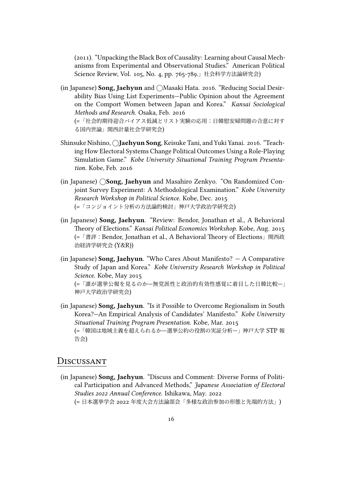(2011). "Unpacking the Black Box of Causality: Learning about Causal Mechanisms from Experimental and Observational Studies." American Political Science Review, Vol. 105, No. 4, pp. 765-789.」社会科学方法論研究会)

(in Japanese) **Song, Jaehyun** and *⃝*Masaki Hata. 2016. "Reducing Social Desirability Bias Using List Experiments—Public Opinion about the Agreement on the Comport Women between Japan and Korea." *Kansai Sociological Methods and Research.* Osaka, Feb. 2016 (=「社会的期待迎合バイアス低減とリスト実験の応用:日韓慰安婦問題の合意に対す

る国内世論」関西計量社会学研究会)

- Shinsuke Nishino, *⃝***Jaehyun Song**, Keisuke Tani, and Yuki Yanai. 2016. "Teaching How Electoral Systems Change Political Outcomes Using a Role-Playing Simulation Game." *Kobe University Situational Training Program Presentation.* Kobe, Feb. 2016
- (in Japanese) *⃝***Song, Jaehyun** and Masahiro Zenkyo. "On Randomized Conjoint Survey Experiment: A Methodological Examination." *Kobe University Research Workshop in Political Science.* Kobe, Dec. 2015 (=「コンジョイント分析の方法論的検討」神戸大学政治学研究会)
- (in Japanese) **Song, Jaehyun**. "Review: Bendor, Jonathan et al., A Behavioral Theory of Elections." *Kansai Political Economics Workshop.* Kobe, Aug. 2015 (=「書評:Bendor, Jonathan et al., A Behavioral Theory of Elections」関西政 治経済学研究会 (Y&R))
- (in Japanese) **Song, Jaehyun**. "Who Cares About Manifesto? A Comparative Study of Japan and Korea." *Kobe University Research Workshop in Political Science.* Kobe, May 2015 (=「誰が選挙公報を見るのか—無党派性と政治的有効性感覚に着目した日韓比較—」 神戸大学政治学研究会)
- (in Japanese) **Song, Jaehyun**. "Is it Possible to Overcome Regionalism in South Korea?—An Empirical Analysis of Candidates' Manifesto." *Kobe University Situational Training Program Presentation.* Kobe, Mar. 2015 (=「韓国は地域主義を超えられるか—選挙公約の役割の実証分析—」神戸大学 STP 報 告会)

#### Discussant

(in Japanese) **Song, Jaehyun**. "Discuss and Comment: Diverse Forms of Political Participation and Advanced Methods," *Japanese Association of Electoral Studies 2022 Annual Conference.* Ishikawa, May. 2022 (= 日本選挙学会 2022 年度大会方法論部会「多様な政治参加の形態と先端的方法」)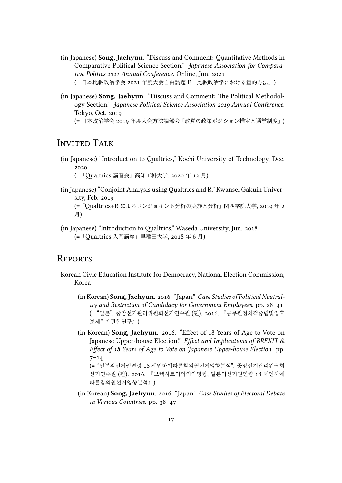- (in Japanese) **Song, Jaehyun**. "Discuss and Comment: Quantitative Methods in Comparative Political Science Section." *Japanese Association for Comparative Politics 2021 Annual Conference.* Online, Jun. 2021 (= 日本比較政治学会 2021 年度大会自由論題 E「比較政治学における量的方法」)
- (in Japanese) **Song, Jaehyun**. "Discuss and Comment: The Political Methodology Section." *Japanese Political Science Association 2019 Annual Conference.* Tokyo, Oct. 2019

(= 日本政治学会 2019 年度大会方法論部会「政党の政策ポジション推定と選挙制度」)

### Invited TalK

(in Japanese) "Introduction to Qualtrics," Kochi University of Technology, Dec. 2020

(=「Qualtrics 講習会」高知工科大学, 2020 年 12 月)

(in Japanese) "Conjoint Analysis usingQualtrics and R," Kwansei Gakuin University, Feb. 2019

(=「Qualtrics+R によるコンジョイント分析の実施と分析」関西学院大学, 2019 年 2 月)

(in Japanese) "Introduction to Qualtrics," Waseda University, Jun. 2018 (=「Qualtrics 入門講座」早稲田大学, 2018 年 6 月)

#### **REPORTS**

- Korean Civic Education Institute for Democracy, National Election Commission, Korea
	- (in Korean) **Song, Jaehyun**. 2016. "Japan." *Case Studies of Political Neutrality and Restriction of Candidacy for Government Employees.* pp. 28–41 (= "일본". 중앙선거관리위원회선거연수원 (편). 2016. 『공무원정치적중립및입후 보제한에관한연구』)
	- (in Korean) **Song, Jaehyun**. 2016. "Effect of 18 Years of Age to Vote on Japanese Upper-house Election." *Effect and Implications of BREXIT & Effect of 18 Years of Age to Vote on Japanese Upper-house Election.* pp.  $7 - 14$

(= "일본의선거권연령 18 세인하에따른참의원선거영향분석". 중앙선거관리위원회 선거연수원 (편). 2016. 『브렉시트의의의와영향, 일본의선거권연령 18 세인하에 따른참의원선거영향분석』)

(in Korean) **Song, Jaehyun**. 2016. "Japan." *Case Studies of Electoral Debate in Various Countries.* pp. 38–47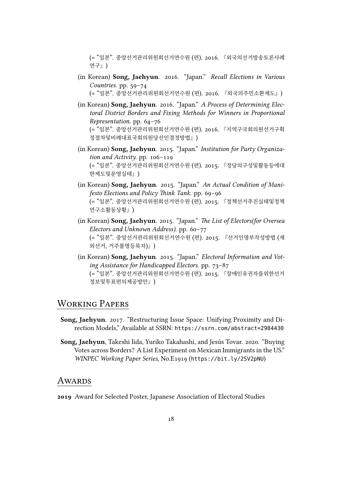(= "일본". 중앙선거관리위원회선거연수원 (편). 2016. 『외국의선거방송토론사례 연구』)

- (in Korean) **Song, Jaehyun**. 2016. "Japan." *Recall Elections in Various Countries.* pp. 59–74 (= "일본". 중앙선거관리위원회선거연수원 (편). 2016. 『외국의주민소환제도』)
- (in Korean) **Song, Jaehyun**. 2016. "Japan." *A Process of Determining Electoral District Borders and Fixing Methods for Winners in Proportional Representation.* pp. 64–76 (= "일본". 중앙선거관리위원회선거연수원 (편). 2016. 『지역구국회의원선거구획 정절차및비례대표국회의원당선인결정방법』)
- (in Korean) **Song, Jaehyun**. 2015. "Japan." *Institution for Party Organization and Activity.* pp. 106–119 (= "일본". 중앙선거관리위원회선거연수원 (편). 2015. 『정당의구성및활동등에대 한제도및운영실태』)
- (in Korean) **Song, Jaehyun**. 2015. "Japan." *An Actual Condition of Manifesto Elections and Policy Think Tank.* pp. 69–96 (= "일본". 중앙선거관리위원회선거연수원 (편). 2015. 『정책선거추진실태및정책 연구소활동상황』)
- (in Korean) **Song, Jaehyun**. 2015. "Japan." *The List of Electors(for Oversea Electors and Unknown Address).* pp. 60–77 (= "일본". 중앙선거관리위원회선거연수원 (편). 2015. 『선거인명부작성방법 (재 외선거, 거주불명등록자)』)
- (in Korean) **Song, Jaehyun**. 2015. "Japan." *Electoral Information and Voting Assistance for Handicapped Electors.* pp. 73–87 (= "일본". 중앙선거관리위원회선거연수원 (편). 2015. 『장애인유권자를위한선거 정보및투표편의제공방안』)

### WORKING PAPERS

- **Song, Jaehyun**. 2017. "Restructuring Issue Space: Unifying Proximity and Direction Models," Available at SSRN: <https://ssrn.com/abstract=2984430>
- **Song, Jaehyun**, [Takeshi Iida](https://tiida.doshisha.ac.jp), Yuriko Takahashi, and Jesús Tovar. 2020. "Buying Votes across Borders? A List Experiment on Mexican Immigrants in the US." *WINPEC Working Paper Series,* No.E1919 (<https://bit.ly/2SV2pNU>)

#### **AWARDS**

**2019** Award for Selected Poster, Japanese Association of Electoral Studies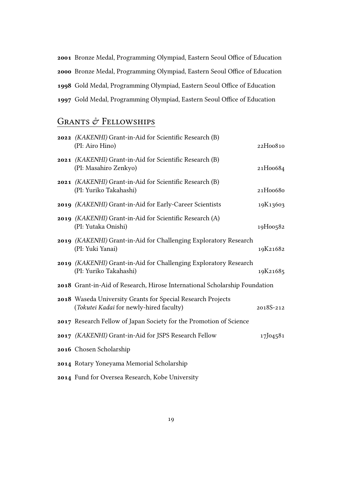Bronze Medal, Programming Olympiad, Eastern Seoul Office of Education Bronze Medal, Programming Olympiad, Eastern Seoul Office of Education Gold Medal, Programming Olympiad, Eastern Seoul Office of Education Gold Medal, Programming Olympiad, Eastern Seoul Office of Education

## GRANTS & FELLOWSHIPS

| 2022 (KAKENHI) Grant-in-Aid for Scientific Research (B)<br>(PI: Airo Hino)                             | 22H00810  |
|--------------------------------------------------------------------------------------------------------|-----------|
| 2021 (KAKENHI) Grant-in-Aid for Scientific Research (B)<br>(PI: Masahiro Zenkyo)                       | 21H00684  |
| 2021 (KAKENHI) Grant-in-Aid for Scientific Research (B)<br>(PI: Yuriko Takahashi)                      | 21H00680  |
| 2019 (KAKENHI) Grant-in-Aid for Early-Career Scientists                                                | 19K13603  |
| 2019 (KAKENHI) Grant-in-Aid for Scientific Research (A)<br>(PI: Yutaka Onishi)                         | 19H00582  |
| 2019 (KAKENHI) Grant-in-Aid for Challenging Exploratory Research<br>(PI: Yuki Yanai)                   | 19K21682  |
| 2019 (KAKENHI) Grant-in-Aid for Challenging Exploratory Research<br>(PI: Yuriko Takahashi)             | 19K21685  |
| 2018 Grant-in-Aid of Research, Hirose International Scholarship Foundation                             |           |
| 2018 Waseda University Grants for Special Research Projects<br>(Tokutei Kadai for newly-hired faculty) | 2018S-212 |
| 2017 Research Fellow of Japan Society for the Promotion of Science                                     |           |
| 2017 (KAKENHI) Grant-in-Aid for JSPS Research Fellow                                                   | 17J04581  |
| 2016 Chosen Scholarship                                                                                |           |
| 2014 Rotary Yoneyama Memorial Scholarship                                                              |           |

Fund for Oversea Research, Kobe University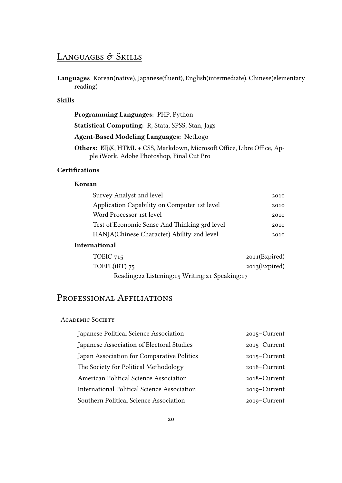# LANGUAGES  $\mathcal O$  Skills

**Languages** Korean(native), Japanese(fluent), English(intermediate), Chinese(elementary reading)

#### **Skills**

**Programming Languages:** PHP, Python

**Statistical Computing:** R, Stata, SPSS, Stan, Jags

**Agent-Based Modeling Languages:** NetLogo

Others: ETEX, HTML + CSS, Markdown, Microsoft Office, Libre Office, Apple iWork, Adobe Photoshop, Final Cut Pro

#### **Certifications**

#### **Korean**

| Survey Analyst 2nd level                      | 2010 |
|-----------------------------------------------|------|
| Application Capability on Computer 1st level  | 2010 |
| Word Processor 1st level                      | 2010 |
| Test of Economic Sense And Thinking 3rd level | 2010 |
| HANJA(Chinese Character) Ability 2nd level    | 2010 |

#### **International**

| TOEIC 715                                      | $2011$ (Expired) |
|------------------------------------------------|------------------|
| TOEFL( $iBT$ ) 75                              | $2013$ (Expired) |
| Reading:22 Listening:15 Writing:21 Speaking:17 |                  |

### PROFESSIONAL AFFILIATIONS

#### ACADEMIC SOCIETY

| Japanese Political Science Association             | 2015-Current    |
|----------------------------------------------------|-----------------|
| Japanese Association of Electoral Studies          | 2015-Current    |
| Japan Association for Comparative Politics         | $2015$ –Current |
| The Society for Political Methodology              | 2018-Current    |
| American Political Science Association             | 2018–Current    |
| <b>International Political Science Association</b> | 2019-Current    |
| Southern Political Science Association             | 2019–Current    |